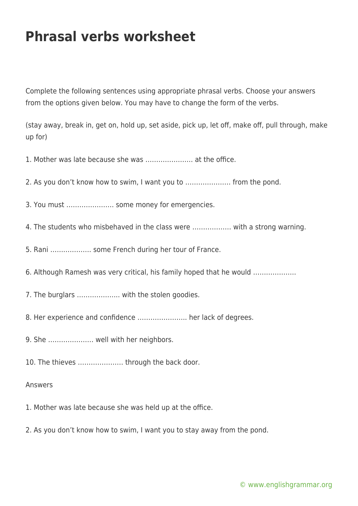## **Phrasal verbs worksheet**

Complete the following sentences using appropriate phrasal verbs. Choose your answers from the options given below. You may have to change the form of the verbs.

(stay away, break in, get on, hold up, set aside, pick up, let off, make off, pull through, make up for)

1. Mother was late because she was …………………. at the office.

2. As you don't know how to swim, I want you to ………………… from the pond.

3. You must …………………. some money for emergencies.

- 4. The students who misbehaved in the class were ……………… with a strong warning.
- 5. Rani ………………. some French during her tour of France.
- 6. Although Ramesh was very critical, his family hoped that he would ………………..
- 7. The burglars ……………….. with the stolen goodies.
- 8. Her experience and confidence ………………….. her lack of degrees.
- 9. She ………………… well with her neighbors.
- 10. The thieves ………………… through the back door.

## Answers

- 1. Mother was late because she was held up at the office.
- 2. As you don't know how to swim, I want you to stay away from the pond.